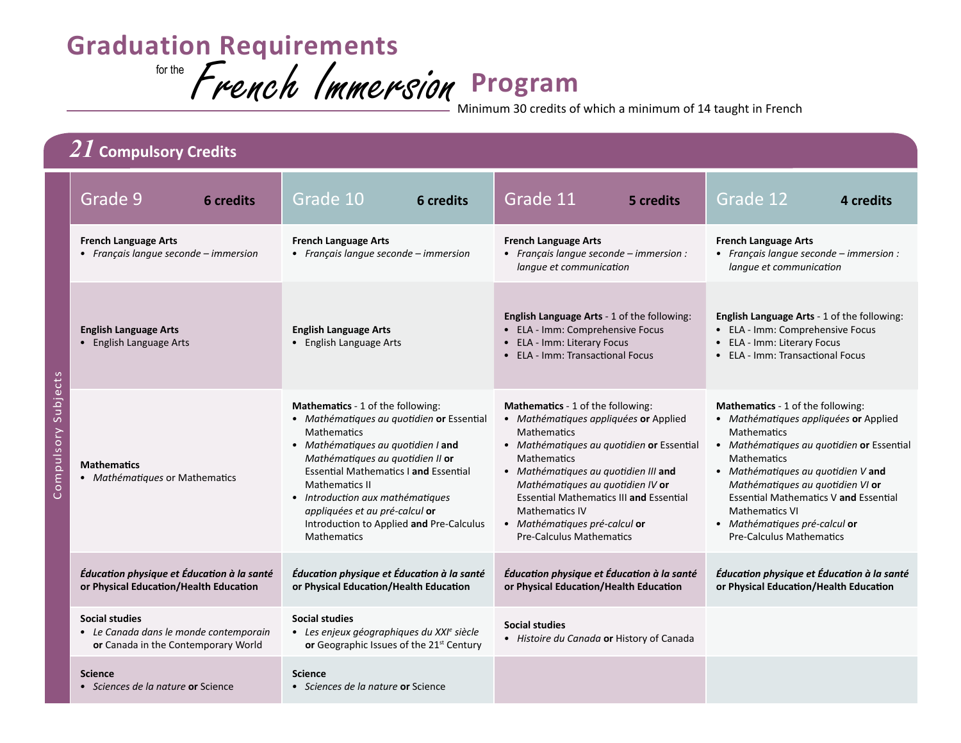## **Graduation Requirements**

for the **French Immersion Program** 

Minimum 30 credits of which a minimum of 14 taught in French

| $2I$ Compulsory Credits   |                                                                                                 |                                                                                                                                                                                                                                                                                                                                                                                                 |                                                                                                                                                                                                                                                                                                                                                                                                |                                                                                                                                                                                                                                                                                                                                                                                                   |
|---------------------------|-------------------------------------------------------------------------------------------------|-------------------------------------------------------------------------------------------------------------------------------------------------------------------------------------------------------------------------------------------------------------------------------------------------------------------------------------------------------------------------------------------------|------------------------------------------------------------------------------------------------------------------------------------------------------------------------------------------------------------------------------------------------------------------------------------------------------------------------------------------------------------------------------------------------|---------------------------------------------------------------------------------------------------------------------------------------------------------------------------------------------------------------------------------------------------------------------------------------------------------------------------------------------------------------------------------------------------|
|                           | Grade 9<br><b>6</b> credits                                                                     | Grade 10<br>6 credits                                                                                                                                                                                                                                                                                                                                                                           | Grade 11<br>5 credits                                                                                                                                                                                                                                                                                                                                                                          | Grade 12<br>4 credits                                                                                                                                                                                                                                                                                                                                                                             |
| ects<br>Subj<br>ompulsory | <b>French Language Arts</b><br>• Français langue seconde - immersion                            | <b>French Language Arts</b><br>• Français langue seconde - immersion                                                                                                                                                                                                                                                                                                                            | <b>French Language Arts</b><br>• Français langue seconde - immersion :<br>langue et communication                                                                                                                                                                                                                                                                                              | <b>French Language Arts</b><br>• Français langue seconde – immersion :<br>langue et communication                                                                                                                                                                                                                                                                                                 |
|                           | <b>English Language Arts</b><br>• English Language Arts                                         | <b>English Language Arts</b><br>• English Language Arts                                                                                                                                                                                                                                                                                                                                         | English Language Arts - 1 of the following:<br>• ELA - Imm: Comprehensive Focus<br>• ELA - Imm: Literary Focus<br>• ELA - Imm: Transactional Focus                                                                                                                                                                                                                                             | English Language Arts - 1 of the following:<br>• ELA - Imm: Comprehensive Focus<br>• ELA - Imm: Literary Focus<br>• ELA - Imm: Transactional Focus                                                                                                                                                                                                                                                |
|                           | <b>Mathematics</b><br>• Mathématiques or Mathematics                                            | <b>Mathematics</b> - 1 of the following:<br>• Mathématiques au quotidien or Essential<br><b>Mathematics</b><br>• Mathématiques au quotidien I and<br>Mathématiques au quotidien II or<br><b>Essential Mathematics I and Essential</b><br>Mathematics II<br>• Introduction aux mathématiques<br>appliquées et au pré-calcul or<br>Introduction to Applied and Pre-Calculus<br><b>Mathematics</b> | Mathematics - 1 of the following:<br>• Mathématiques appliquées or Applied<br><b>Mathematics</b><br>• Mathématiques au quotidien or Essential<br><b>Mathematics</b><br>• Mathématiques au quotidien III and<br>Mathématiques au quotidien IV or<br><b>Essential Mathematics III and Essential</b><br><b>Mathematics IV</b><br>• Mathématiques pré-calcul or<br><b>Pre-Calculus Mathematics</b> | <b>Mathematics</b> - 1 of the following:<br>• Mathématiques appliquées or Applied<br><b>Mathematics</b><br>• Mathématiques au quotidien or Essential<br><b>Mathematics</b><br>• Mathématiques au quotidien V and<br>Mathématiques au quotidien VI or<br><b>Essential Mathematics V and Essential</b><br><b>Mathematics VI</b><br>• Mathématiques pré-calcul or<br><b>Pre-Calculus Mathematics</b> |
|                           | Éducation physique et Éducation à la santé<br>or Physical Education/Health Education            | Éducation physique et Éducation à la santé<br>or Physical Education/Health Education                                                                                                                                                                                                                                                                                                            | Éducation physique et Éducation à la santé<br>or Physical Education/Health Education                                                                                                                                                                                                                                                                                                           | Éducation physique et Éducation à la santé<br>or Physical Education/Health Education                                                                                                                                                                                                                                                                                                              |
|                           | Social studies<br>• Le Canada dans le monde contemporain<br>or Canada in the Contemporary World | <b>Social studies</b><br>• Les enjeux géographiques du XXI <sup>e</sup> siècle<br>or Geographic Issues of the 21st Century                                                                                                                                                                                                                                                                      | <b>Social studies</b><br>• Histoire du Canada or History of Canada                                                                                                                                                                                                                                                                                                                             |                                                                                                                                                                                                                                                                                                                                                                                                   |
|                           | <b>Science</b><br>• Sciences de la nature or Science                                            | <b>Science</b><br>• Sciences de la nature or Science                                                                                                                                                                                                                                                                                                                                            |                                                                                                                                                                                                                                                                                                                                                                                                |                                                                                                                                                                                                                                                                                                                                                                                                   |